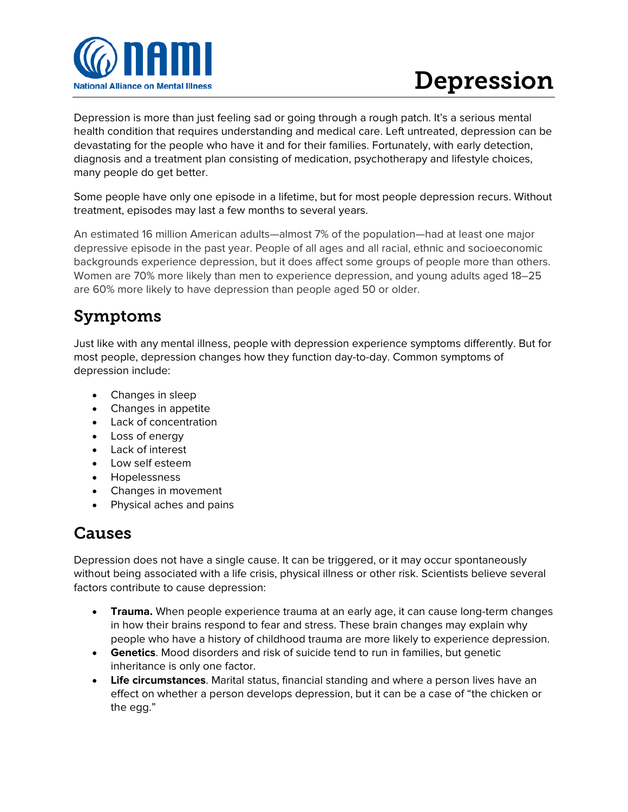

# Depression

Depression is more than just feeling sad or going through a rough patch. It's a serious mental health condition that requires understanding and medical care. Left untreated, depression can be devastating for the people who have it and for their families. Fortunately, with early detection, diagnosis and a treatment plan consisting of medication, psychotherapy and lifestyle choices, many people do get better.

Some people have only one episode in a lifetime, but for most people depression recurs. Without treatment, episodes may last a few months to several years.

An estimated 16 million American adults—almost 7% of the population—had at least one major depressive episode in the past year. People of all ages and all racial, ethnic and socioeconomic backgrounds experience depression, but it does affect some groups of people more than others. Women are 70% more likely than men to experience depression, and young adults aged 18–25 are 60% more likely to have depression than people aged 50 or older.

## Symptoms

Just like with any mental illness, people with depression experience symptoms differently. But for most people, depression changes how they function day-to-day. Common symptoms of depression include:

- Changes in sleep
- Changes in appetite
- Lack of concentration
- Loss of energy
- Lack of interest
- Low self esteem
- Hopelessness
- Changes in movement
- Physical aches and pains

#### Causes

Depression does not have a single cause. It can be triggered, or it may occur spontaneously without being associated with a life crisis, physical illness or other risk. Scientists believe several factors contribute to cause depression:

- **Trauma.** When people experience trauma at an early age, it can cause long-term changes in how their brains respond to fear and stress. These brain changes may explain why people who have a history of childhood trauma are more likely to experience depression.
- **Genetics**. Mood disorders and risk of suicide tend to run in families, but genetic inheritance is only one factor.
- **Life circumstances**. Marital status, financial standing and where a person lives have an effect on whether a person develops depression, but it can be a case of "the chicken or the egg."